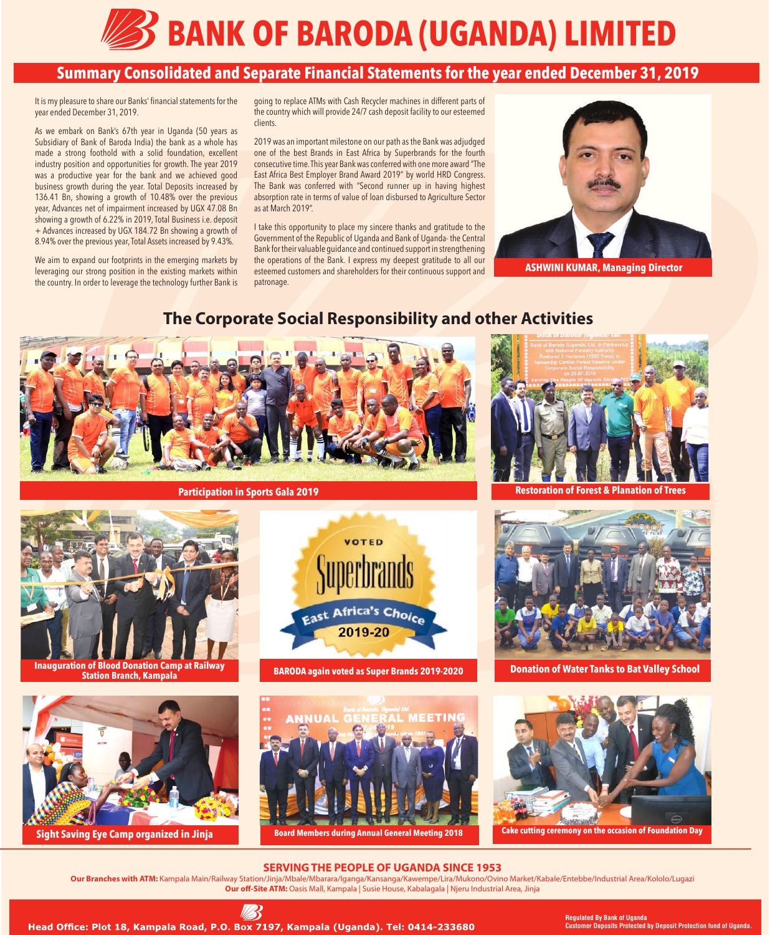

# **Summary Consolidated and Separate Financial Statements for the year ended December 31, 2019**

It is my pleasure to share our Banks' financial statements for the year ended December 31, 2019.

As we embark on Bank's 67th year in Uganda (50 years as Subsidiary of Bank of Baroda India) the bank as a whole has made a strong foothold with a solid foundation, excellent industry position and opportunities for growth. The year 2019 was a productive year for the bank and we achieved good business growth during the year. Total Deposits increased by 136.41 Bn, showing a growth of 10.48% over the previous year, Advances net of impairment increased by UGX 47.08 Bn showing a growth of 6.22% in 2019, Total Business i.e. deposit + Advances increased by UGX 184.72 Bn showing a growth of 8.94% over the previous year, Total Assets increased by 9.43%.

We aim to expand our footprints in the emerging markets by leveraging our strong position in the existing markets within the country. In order to leverage the technology further Bank is going to replace ATMs with Cash Recycler machines in different parts of the country which will provide 24/7 cash deposit facility to our esteemed clients.

2019 was an important milestone on our path as the Bank was adjudged one of the best Brands in East Africa by Superbrands for the fourth consecutive time. This year Bank was conferred with one more award "The East Africa Best Employer Brand Award 2019" by world HRD Congress. The Bank was conferred with "Second runner up in having highest absorption rate in terms of value of loan disbursed to Agriculture Sector as at March 2019".

I take this opportunity to place my sincere thanks and gratitude to the Government of the Republic of Uganda and Bank of Uganda- the Central Bank for their valuable guidance and continued support in strengthening the operations of the Bank. I express my deepest gratitude to all our esteemed customers and shareholders for their continuous support and patronage.



**ASHWINI KUMAR, Managing Director**

## **The Corporate Social Responsibility and other Activities**







**Sight Saving Eye Camp organized in Jinja**



**BARODA again voted as Super Brands 2019-2020**





**Donation of Water Tanks to Bat Valley School**



#### **Cake cutting ceremony on the occasion of Foundation Day**

### **SERVING THE PEOPLE OF UGANDA SINCE 1953**

**Our Branches with ATM:** Kampala Main/Railway Station/Jinja/Mbale/Mbarara/Iganga/Kansanga/Kawempe/Lira/Mukono/Ovino Market/Kabale/Entebbe/Industrial Area/Kololo/Lugazi **Our off-Site ATM:** Oasis Mall, Kampala | Susie House, Kabalagala | Njeru Industrial Area, Jinja



**Regulated By Bank of Uganda Customer Deposits Protected by Deposit Protection fund of Uganda.**